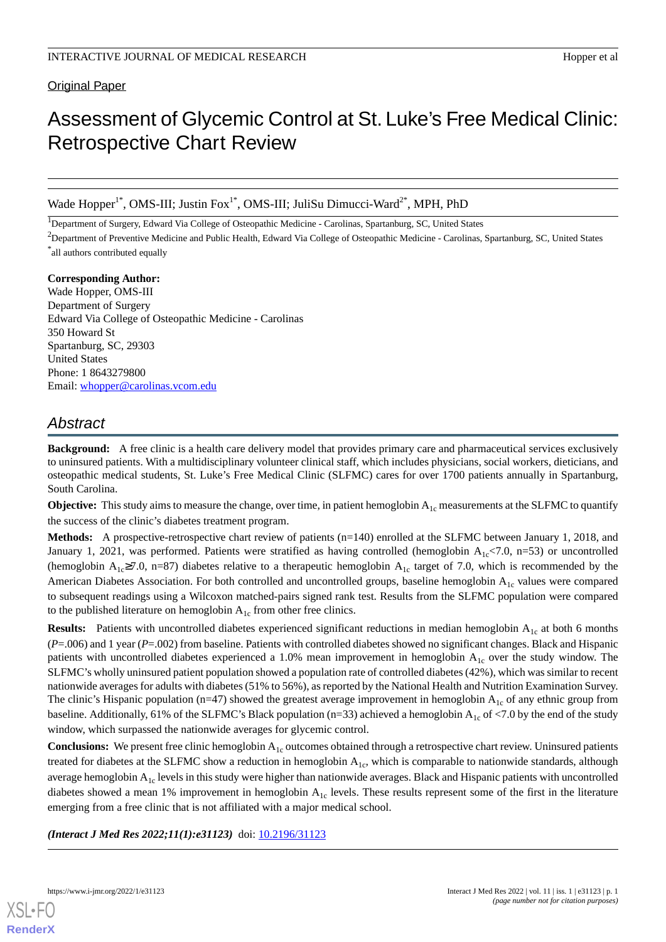Original Paper

# Assessment of Glycemic Control at St. Luke's Free Medical Clinic: Retrospective Chart Review

Wade Hopper<sup>1\*</sup>, OMS-III; Justin Fox<sup>1\*</sup>, OMS-III; JuliSu Dimucci-Ward<sup>2\*</sup>, MPH, PhD

<sup>1</sup>Department of Surgery, Edward Via College of Osteopathic Medicine - Carolinas, Spartanburg, SC, United States

<sup>2</sup>Department of Preventive Medicine and Public Health, Edward Via College of Osteopathic Medicine - Carolinas, Spartanburg, SC, United States

\* all authors contributed equally

**Corresponding Author:** Wade Hopper, OMS-III Department of Surgery Edward Via College of Osteopathic Medicine - Carolinas 350 Howard St Spartanburg, SC, 29303 United States Phone: 1 8643279800 Email: [whopper@carolinas.vcom.edu](mailto:whopper@carolinas.vcom.edu)

# *Abstract*

**Background:** A free clinic is a health care delivery model that provides primary care and pharmaceutical services exclusively to uninsured patients. With a multidisciplinary volunteer clinical staff, which includes physicians, social workers, dieticians, and osteopathic medical students, St. Luke's Free Medical Clinic (SLFMC) cares for over 1700 patients annually in Spartanburg, South Carolina.

**Objective:** This study aims to measure the change, over time, in patient hemoglobin A<sub>1c</sub> measurements at the SLFMC to quantify the success of the clinic's diabetes treatment program.

**Methods:** A prospective-retrospective chart review of patients (n=140) enrolled at the SLFMC between January 1, 2018, and January 1, 2021, was performed. Patients were stratified as having controlled (hemoglobin  $A_{1c}$ <7.0, n=53) or uncontrolled (hemoglobin A<sub>1c</sub>≥7.0, n=87) diabetes relative to a therapeutic hemoglobin A<sub>1c</sub> target of 7.0, which is recommended by the American Diabetes Association. For both controlled and uncontrolled groups, baseline hemoglobin  $A_{1c}$  values were compared to subsequent readings using a Wilcoxon matched-pairs signed rank test. Results from the SLFMC population were compared to the published literature on hemoglobin  $A_{1c}$  from other free clinics.

**Results:** Patients with uncontrolled diabetes experienced significant reductions in median hemoglobin A<sub>1c</sub> at both 6 months (*P*=.006) and 1 year (*P*=.002) from baseline. Patients with controlled diabetes showed no significant changes. Black and Hispanic patients with uncontrolled diabetes experienced a 1.0% mean improvement in hemoglobin A1c over the study window. The SLFMC's wholly uninsured patient population showed a population rate of controlled diabetes (42%), which was similar to recent nationwide averages for adults with diabetes (51% to 56%), as reported by the National Health and Nutrition Examination Survey. The clinic's Hispanic population (n=47) showed the greatest average improvement in hemoglobin  $A_{1c}$  of any ethnic group from baseline. Additionally, 61% of the SLFMC's Black population (n=33) achieved a hemoglobin  $A_{1c}$  of <7.0 by the end of the study window, which surpassed the nationwide averages for glycemic control.

**Conclusions:** We present free clinic hemoglobin A<sub>1c</sub> outcomes obtained through a retrospective chart review. Uninsured patients treated for diabetes at the SLFMC show a reduction in hemoglobin  $A_{1c}$ , which is comparable to nationwide standards, although average hemoglobin  $A_{1c}$  levels in this study were higher than nationwide averages. Black and Hispanic patients with uncontrolled diabetes showed a mean 1% improvement in hemoglobin  $A_{1c}$  levels. These results represent some of the first in the literature emerging from a free clinic that is not affiliated with a major medical school.

*(Interact J Med Res 2022;11(1):e31123)* doi:  $10.2196/31123$ 

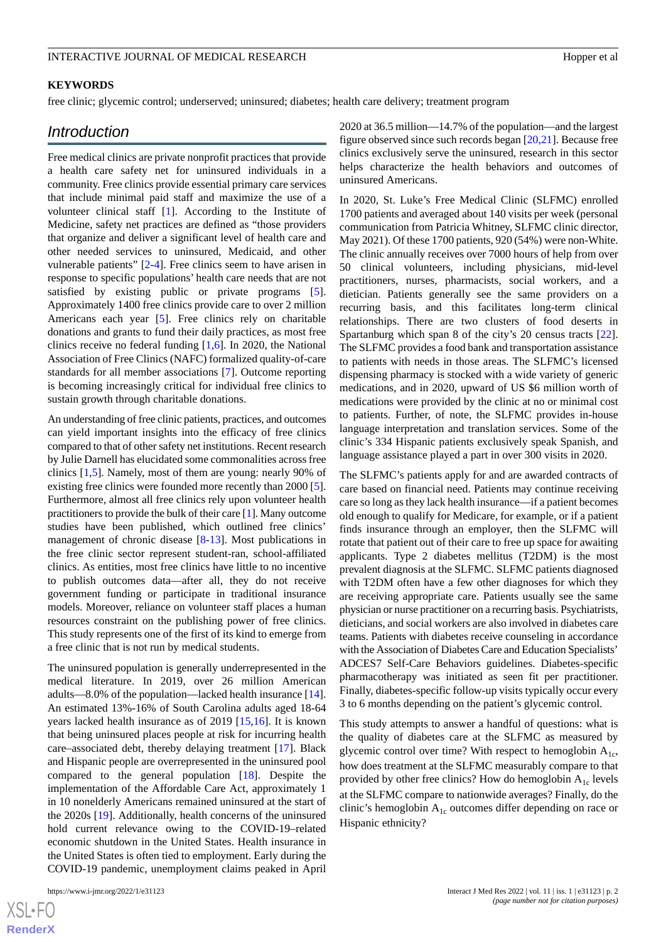## **KEYWORDS**

free clinic; glycemic control; underserved; uninsured; diabetes; health care delivery; treatment program

# *Introduction*

Free medical clinics are private nonprofit practices that provide a health care safety net for uninsured individuals in a community. Free clinics provide essential primary care services that include minimal paid staff and maximize the use of a volunteer clinical staff [\[1](#page-6-0)]. According to the Institute of Medicine, safety net practices are defined as "those providers that organize and deliver a significant level of health care and other needed services to uninsured, Medicaid, and other vulnerable patients" [[2](#page-7-0)-[4\]](#page-7-1). Free clinics seem to have arisen in response to specific populations' health care needs that are not satisfied by existing public or private programs [[5\]](#page-7-2). Approximately 1400 free clinics provide care to over 2 million Americans each year [\[5](#page-7-2)]. Free clinics rely on charitable donations and grants to fund their daily practices, as most free clinics receive no federal funding [\[1](#page-6-0),[6](#page-7-3)]. In 2020, the National Association of Free Clinics (NAFC) formalized quality-of-care standards for all member associations [[7](#page-7-4)]. Outcome reporting is becoming increasingly critical for individual free clinics to sustain growth through charitable donations.

An understanding of free clinic patients, practices, and outcomes can yield important insights into the efficacy of free clinics compared to that of other safety net institutions. Recent research by Julie Darnell has elucidated some commonalities across free clinics [[1](#page-6-0)[,5](#page-7-2)]. Namely, most of them are young: nearly 90% of existing free clinics were founded more recently than 2000 [[5\]](#page-7-2). Furthermore, almost all free clinics rely upon volunteer health practitioners to provide the bulk of their care [\[1](#page-6-0)]. Many outcome studies have been published, which outlined free clinics' management of chronic disease [\[8](#page-7-5)[-13](#page-7-6)]. Most publications in the free clinic sector represent student-ran, school-affiliated clinics. As entities, most free clinics have little to no incentive to publish outcomes data—after all, they do not receive government funding or participate in traditional insurance models. Moreover, reliance on volunteer staff places a human resources constraint on the publishing power of free clinics. This study represents one of the first of its kind to emerge from a free clinic that is not run by medical students.

The uninsured population is generally underrepresented in the medical literature. In 2019, over 26 million American adults—8.0% of the population—lacked health insurance [[14\]](#page-7-7). An estimated 13%-16% of South Carolina adults aged 18-64 years lacked health insurance as of 2019 [\[15](#page-7-8),[16\]](#page-7-9). It is known that being uninsured places people at risk for incurring health care–associated debt, thereby delaying treatment [[17\]](#page-7-10). Black and Hispanic people are overrepresented in the uninsured pool compared to the general population [\[18](#page-7-11)]. Despite the implementation of the Affordable Care Act, approximately 1 in 10 nonelderly Americans remained uninsured at the start of the 2020s [\[19](#page-7-12)]. Additionally, health concerns of the uninsured hold current relevance owing to the COVID-19–related economic shutdown in the United States. Health insurance in the United States is often tied to employment. Early during the COVID-19 pandemic, unemployment claims peaked in April

[XSL](http://www.w3.org/Style/XSL)•FO **[RenderX](http://www.renderx.com/)** 2020 at 36.5 million—14.7% of the population—and the largest figure observed since such records began [\[20](#page-7-13),[21\]](#page-7-14). Because free clinics exclusively serve the uninsured, research in this sector helps characterize the health behaviors and outcomes of uninsured Americans.

In 2020, St. Luke's Free Medical Clinic (SLFMC) enrolled 1700 patients and averaged about 140 visits per week (personal communication from Patricia Whitney, SLFMC clinic director, May 2021). Of these 1700 patients, 920 (54%) were non-White. The clinic annually receives over 7000 hours of help from over 50 clinical volunteers, including physicians, mid-level practitioners, nurses, pharmacists, social workers, and a dietician. Patients generally see the same providers on a recurring basis, and this facilitates long-term clinical relationships. There are two clusters of food deserts in Spartanburg which span 8 of the city's 20 census tracts [[22\]](#page-7-15). The SLFMC provides a food bank and transportation assistance to patients with needs in those areas. The SLFMC's licensed dispensing pharmacy is stocked with a wide variety of generic medications, and in 2020, upward of US \$6 million worth of medications were provided by the clinic at no or minimal cost to patients. Further, of note, the SLFMC provides in-house language interpretation and translation services. Some of the clinic's 334 Hispanic patients exclusively speak Spanish, and language assistance played a part in over 300 visits in 2020.

The SLFMC's patients apply for and are awarded contracts of care based on financial need. Patients may continue receiving care so long as they lack health insurance—if a patient becomes old enough to qualify for Medicare, for example, or if a patient finds insurance through an employer, then the SLFMC will rotate that patient out of their care to free up space for awaiting applicants. Type 2 diabetes mellitus (T2DM) is the most prevalent diagnosis at the SLFMC. SLFMC patients diagnosed with T2DM often have a few other diagnoses for which they are receiving appropriate care. Patients usually see the same physician or nurse practitioner on a recurring basis. Psychiatrists, dieticians, and social workers are also involved in diabetes care teams. Patients with diabetes receive counseling in accordance with the Association of Diabetes Care and Education Specialists' ADCES7 Self-Care Behaviors guidelines. Diabetes-specific pharmacotherapy was initiated as seen fit per practitioner. Finally, diabetes-specific follow-up visits typically occur every 3 to 6 months depending on the patient's glycemic control.

This study attempts to answer a handful of questions: what is the quality of diabetes care at the SLFMC as measured by glycemic control over time? With respect to hemoglobin  $A_{1c}$ , how does treatment at the SLFMC measurably compare to that provided by other free clinics? How do hemoglobin  $A_{1c}$  levels at the SLFMC compare to nationwide averages? Finally, do the clinic's hemoglobin  $A_{1c}$  outcomes differ depending on race or Hispanic ethnicity?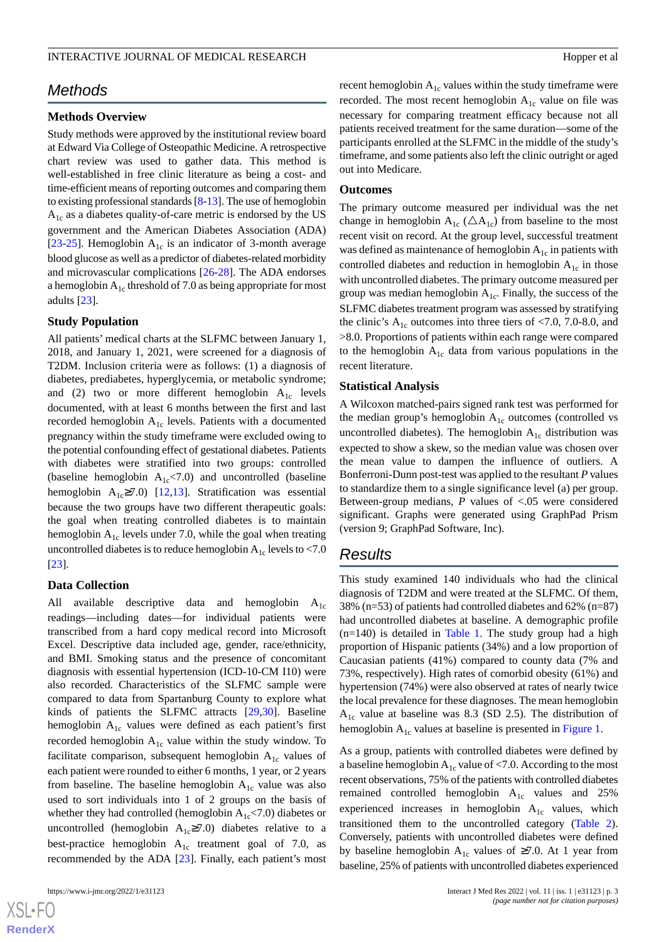# *Methods*

#### **Methods Overview**

Study methods were approved by the institutional review board at Edward Via College of Osteopathic Medicine. A retrospective chart review was used to gather data. This method is well-established in free clinic literature as being a cost- and time-efficient means of reporting outcomes and comparing them to existing professional standards [[8-](#page-7-5)[13\]](#page-7-6). The use of hemoglobin  $A_{1c}$  as a diabetes quality-of-care metric is endorsed by the US government and the American Diabetes Association (ADA) [[23](#page-7-16)[-25](#page-7-17)]. Hemoglobin  $A_{1c}$  is an indicator of 3-month average blood glucose as well as a predictor of diabetes-related morbidity and microvascular complications [[26-](#page-8-0)[28\]](#page-8-1). The ADA endorses a hemoglobin  $A_{1c}$  threshold of 7.0 as being appropriate for most adults [\[23](#page-7-16)].

#### **Study Population**

All patients' medical charts at the SLFMC between January 1, 2018, and January 1, 2021, were screened for a diagnosis of T2DM. Inclusion criteria were as follows: (1) a diagnosis of diabetes, prediabetes, hyperglycemia, or metabolic syndrome; and (2) two or more different hemoglobin  $A_{1c}$  levels documented, with at least 6 months between the first and last recorded hemoglobin  $A_{1c}$  levels. Patients with a documented pregnancy within the study timeframe were excluded owing to the potential confounding effect of gestational diabetes. Patients with diabetes were stratified into two groups: controlled (baseline hemoglobin  $A_{1c}$ <7.0) and uncontrolled (baseline hemoglobin A<sub>1c</sub>≥7.0) [[12](#page-7-18)[,13](#page-7-6)]. Stratification was essential because the two groups have two different therapeutic goals: the goal when treating controlled diabetes is to maintain hemoglobin  $A_{1c}$  levels under 7.0, while the goal when treating uncontrolled diabetes is to reduce hemoglobin  $A_{1c}$  levels to <7.0 [[23\]](#page-7-16).

#### **Data Collection**

All available descriptive data and hemoglobin  $A_{1c}$ readings—including dates—for individual patients were transcribed from a hard copy medical record into Microsoft Excel. Descriptive data included age, gender, race/ethnicity, and BMI. Smoking status and the presence of concomitant diagnosis with essential hypertension (ICD-10-CM I10) were also recorded. Characteristics of the SLFMC sample were compared to data from Spartanburg County to explore what kinds of patients the SLFMC attracts [\[29](#page-8-2)[,30](#page-8-3)]. Baseline hemoglobin  $A_{1c}$  values were defined as each patient's first recorded hemoglobin  $A_{1c}$  value within the study window. To facilitate comparison, subsequent hemoglobin  $A_{1c}$  values of each patient were rounded to either 6 months, 1 year, or 2 years from baseline. The baseline hemoglobin  $A_{1c}$  value was also used to sort individuals into 1 of 2 groups on the basis of whether they had controlled (hemoglobin  $A_{1c}$ <7.0) diabetes or uncontrolled (hemoglobin  $A_{1c} \ge 7.0$ ) diabetes relative to a best-practice hemoglobin  $A_{1c}$  treatment goal of 7.0, as recommended by the ADA [[23\]](#page-7-16). Finally, each patient's most

recent hemoglobin  $A_{1c}$  values within the study timeframe were recorded. The most recent hemoglobin  $A_{1c}$  value on file was necessary for comparing treatment efficacy because not all patients received treatment for the same duration—some of the participants enrolled at the SLFMC in the middle of the study's timeframe, and some patients also left the clinic outright or aged out into Medicare.

#### **Outcomes**

The primary outcome measured per individual was the net change in hemoglobin  $A_{1c}$  ( $\triangle A_{1c}$ ) from baseline to the most recent visit on record. At the group level, successful treatment was defined as maintenance of hemoglobin  $A_{1c}$  in patients with controlled diabetes and reduction in hemoglobin  $A_{1c}$  in those with uncontrolled diabetes. The primary outcome measured per group was median hemoglobin  $A_{1c}$ . Finally, the success of the SLFMC diabetes treatment program was assessed by stratifying the clinic's  $A_{1c}$  outcomes into three tiers of <7.0, 7.0-8.0, and >8.0. Proportions of patients within each range were compared to the hemoglobin  $A_{1c}$  data from various populations in the recent literature.

#### **Statistical Analysis**

A Wilcoxon matched-pairs signed rank test was performed for the median group's hemoglobin  $A_{1c}$  outcomes (controlled vs uncontrolled diabetes). The hemoglobin  $A_{1c}$  distribution was expected to show a skew, so the median value was chosen over the mean value to dampen the influence of outliers. A Bonferroni-Dunn post-test was applied to the resultant *P* values to standardize them to a single significance level (a) per group. Between-group medians, *P* values of <.05 were considered significant. Graphs were generated using GraphPad Prism (version 9; GraphPad Software, Inc).

# *Results*

This study examined 140 individuals who had the clinical diagnosis of T2DM and were treated at the SLFMC. Of them, 38% (n=53) of patients had controlled diabetes and 62% (n=87) had uncontrolled diabetes at baseline. A demographic profile  $(n=140)$  is detailed in [Table 1](#page-3-0). The study group had a high proportion of Hispanic patients (34%) and a low proportion of Caucasian patients (41%) compared to county data (7% and 73%, respectively). High rates of comorbid obesity (61%) and hypertension (74%) were also observed at rates of nearly twice the local prevalence for these diagnoses. The mean hemoglobin  $A_{1c}$  value at baseline was 8.3 (SD 2.5). The distribution of hemoglobin  $A_{1c}$  values at baseline is presented in [Figure 1.](#page-3-1)

As a group, patients with controlled diabetes were defined by a baseline hemoglobin  $A_{1c}$  value of <7.0. According to the most recent observations, 75% of the patients with controlled diabetes remained controlled hemoglobin  $A_{1c}$  values and 25% experienced increases in hemoglobin  $A_{1c}$  values, which transitioned them to the uncontrolled category [\(Table 2\)](#page-4-0). Conversely, patients with uncontrolled diabetes were defined by baseline hemoglobin  $A_{1c}$  values of ≥7.0. At 1 year from baseline, 25% of patients with uncontrolled diabetes experienced

[XSL](http://www.w3.org/Style/XSL)•FO **[RenderX](http://www.renderx.com/)**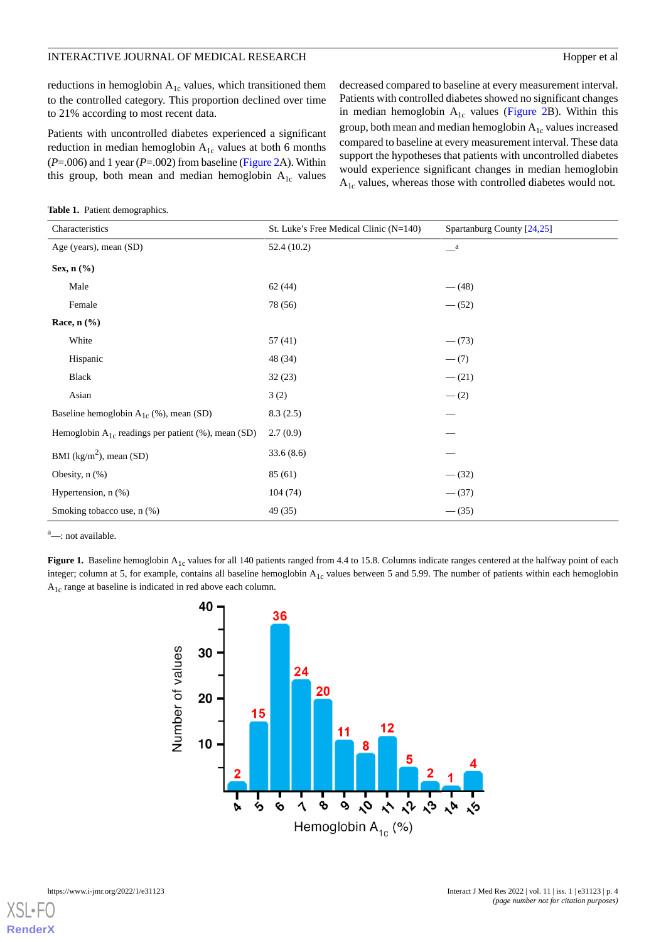reductions in hemoglobin  $A_{1c}$  values, which transitioned them to the controlled category. This proportion declined over time to 21% according to most recent data.

Patients with uncontrolled diabetes experienced a significant reduction in median hemoglobin  $A_{1c}$  values at both 6 months (*P*=.006) and 1 year (*P*=.002) from baseline [\(Figure 2A](#page-4-1)). Within this group, both mean and median hemoglobin  $A_{1c}$  values

decreased compared to baseline at every measurement interval. Patients with controlled diabetes showed no significant changes in median hemoglobin  $A_{1c}$  values ([Figure 2](#page-4-1)B). Within this group, both mean and median hemoglobin  $A_{1c}$  values increased compared to baseline at every measurement interval. These data support the hypotheses that patients with uncontrolled diabetes would experience significant changes in median hemoglobin  $A_{1c}$  values, whereas those with controlled diabetes would not.

<span id="page-3-0"></span>**Table 1.** Patient demographics.

| Characteristics                                         | St. Luke's Free Medical Clinic $(N=140)$ | Spartanburg County [24,25] |  |
|---------------------------------------------------------|------------------------------------------|----------------------------|--|
| Age (years), mean (SD)                                  | 52.4(10.2)                               | $\mathbf{a}$               |  |
| Sex, $n$ $(\%)$                                         |                                          |                            |  |
| Male                                                    | 62(44)                                   | $-$ (48)                   |  |
| Female                                                  | 78 (56)                                  | $- (52)$                   |  |
| Race, $n$ $%$                                           |                                          |                            |  |
| White                                                   | 57(41)                                   | $-(73)$                    |  |
| Hispanic                                                | 48 (34)                                  | $- (7)$                    |  |
| <b>Black</b>                                            | 32(23)                                   | $- (21)$                   |  |
| Asian                                                   | 3(2)                                     | $- (2)$                    |  |
| Baseline hemoglobin $A_{1c}$ (%), mean (SD)             | 8.3(2.5)                                 |                            |  |
| Hemoglobin $A_{1c}$ readings per patient (%), mean (SD) | 2.7(0.9)                                 |                            |  |
| BMI ( $\text{kg/m}^2$ ), mean (SD)                      | 33.6(8.6)                                |                            |  |
| Obesity, $n$ $(\%)$                                     | 85(61)                                   | $- (32)$                   |  |
| Hypertension, $n$ $(\%)$                                | 104(74)                                  | $- (37)$                   |  |
| Smoking tobacco use, n (%)                              | 49 (35)                                  | $-$ (35)                   |  |

<span id="page-3-1"></span><sup>a</sup>—: not available.

Figure 1. Baseline hemoglobin A<sub>1c</sub> values for all 140 patients ranged from 4.4 to 15.8. Columns indicate ranges centered at the halfway point of each integer; column at 5, for example, contains all baseline hemoglobin  $A_{1c}$  values between 5 and 5.99. The number of patients within each hemoglobin A1c range at baseline is indicated in red above each column.



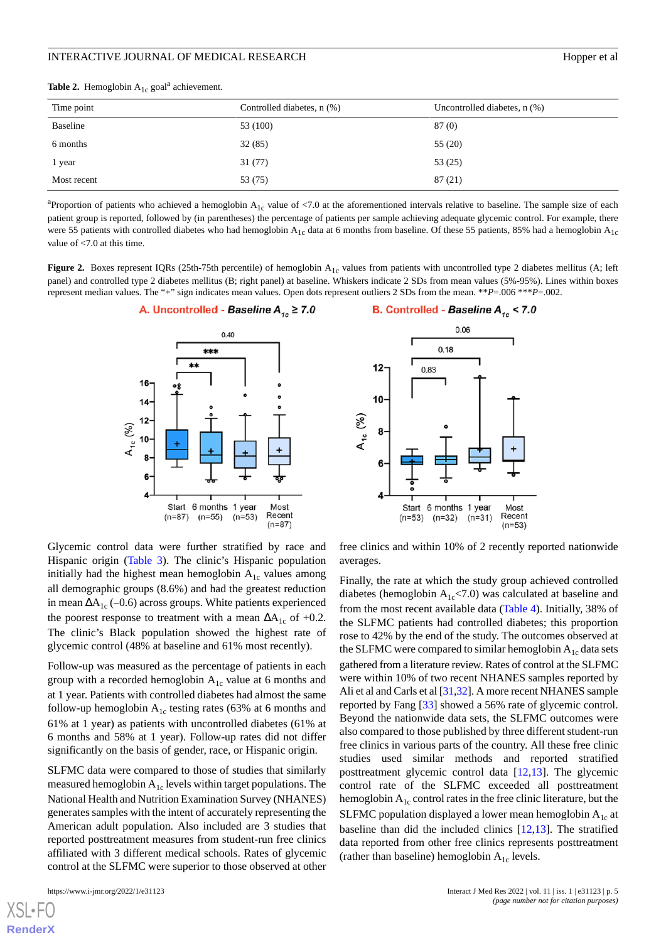<span id="page-4-0"></span>

|  | <b>Table 2.</b> Hemoglobin $A_{1c}$ goal <sup>a</sup> achievement. |  |  |
|--|--------------------------------------------------------------------|--|--|
|--|--------------------------------------------------------------------|--|--|

| Time point  | Controlled diabetes, n (%) | Uncontrolled diabetes, $n$ $%$ ) |  |  |
|-------------|----------------------------|----------------------------------|--|--|
| Baseline    | 53 (100)                   | 87(0)                            |  |  |
| 6 months    | 32(85)                     | 55(20)                           |  |  |
| l year      | 31(77)                     | 53(25)                           |  |  |
| Most recent | 53 (75)                    | 87(21)                           |  |  |

<sup>a</sup> Proportion of patients who achieved a hemoglobin  $A_{1c}$  value of <7.0 at the aforementioned intervals relative to baseline. The sample size of each patient group is reported, followed by (in parentheses) the percentage of patients per sample achieving adequate glycemic control. For example, there were 55 patients with controlled diabetes who had hemoglobin  $A_{1c}$  data at 6 months from baseline. Of these 55 patients, 85% had a hemoglobin  $A_{1c}$ value of <7.0 at this time.

<span id="page-4-1"></span>**Figure 2.** Boxes represent IQRs (25th-75th percentile) of hemoglobin A<sub>1c</sub> values from patients with uncontrolled type 2 diabetes mellitus (A; left panel) and controlled type 2 diabetes mellitus (B; right panel) at baseline. Whiskers indicate 2 SDs from mean values (5%-95%). Lines within boxes represent median values. The "+" sign indicates mean values. Open dots represent outliers 2 SDs from the mean. \*\**P*=.006 \*\*\**P*=.002.





Glycemic control data were further stratified by race and Hispanic origin [\(Table 3](#page-5-0)). The clinic's Hispanic population initially had the highest mean hemoglobin  $A_{1c}$  values among all demographic groups (8.6%) and had the greatest reduction in mean  $\Delta A_{1c}$  (–0.6) across groups. White patients experienced the poorest response to treatment with a mean  $\Delta A_{1c}$  of +0.2. The clinic's Black population showed the highest rate of glycemic control (48% at baseline and 61% most recently).

Follow-up was measured as the percentage of patients in each group with a recorded hemoglobin  $A_{1c}$  value at 6 months and at 1 year. Patients with controlled diabetes had almost the same follow-up hemoglobin  $A_{1c}$  testing rates (63% at 6 months and 61% at 1 year) as patients with uncontrolled diabetes (61% at 6 months and 58% at 1 year). Follow-up rates did not differ significantly on the basis of gender, race, or Hispanic origin.

SLFMC data were compared to those of studies that similarly measured hemoglobin  $A_{1c}$  levels within target populations. The National Health and Nutrition Examination Survey (NHANES) generates samples with the intent of accurately representing the American adult population. Also included are 3 studies that reported posttreatment measures from student-run free clinics affiliated with 3 different medical schools. Rates of glycemic control at the SLFMC were superior to those observed at other

[XSL](http://www.w3.org/Style/XSL)•FO **[RenderX](http://www.renderx.com/)**

free clinics and within 10% of 2 recently reported nationwide averages.

Finally, the rate at which the study group achieved controlled diabetes (hemoglobin  $A_{1c}$ <7.0) was calculated at baseline and from the most recent available data ([Table 4](#page-5-1)). Initially, 38% of the SLFMC patients had controlled diabetes; this proportion rose to 42% by the end of the study. The outcomes observed at the SLFMC were compared to similar hemoglobin  $A_{1c}$  data sets gathered from a literature review. Rates of control at the SLFMC were within 10% of two recent NHANES samples reported by Ali et al and Carls et al [\[31](#page-8-4)[,32](#page-8-5)]. A more recent NHANES sample reported by Fang [[33\]](#page-8-6) showed a 56% rate of glycemic control. Beyond the nationwide data sets, the SLFMC outcomes were also compared to those published by three different student-run free clinics in various parts of the country. All these free clinic studies used similar methods and reported stratified posttreatment glycemic control data [\[12](#page-7-18),[13\]](#page-7-6). The glycemic control rate of the SLFMC exceeded all posttreatment hemoglobin  $A_{1c}$  control rates in the free clinic literature, but the SLFMC population displayed a lower mean hemoglobin  $A_{1c}$  at baseline than did the included clinics [[12](#page-7-18)[,13](#page-7-6)]. The stratified data reported from other free clinics represents posttreatment (rather than baseline) hemoglobin  $A_{1c}$  levels.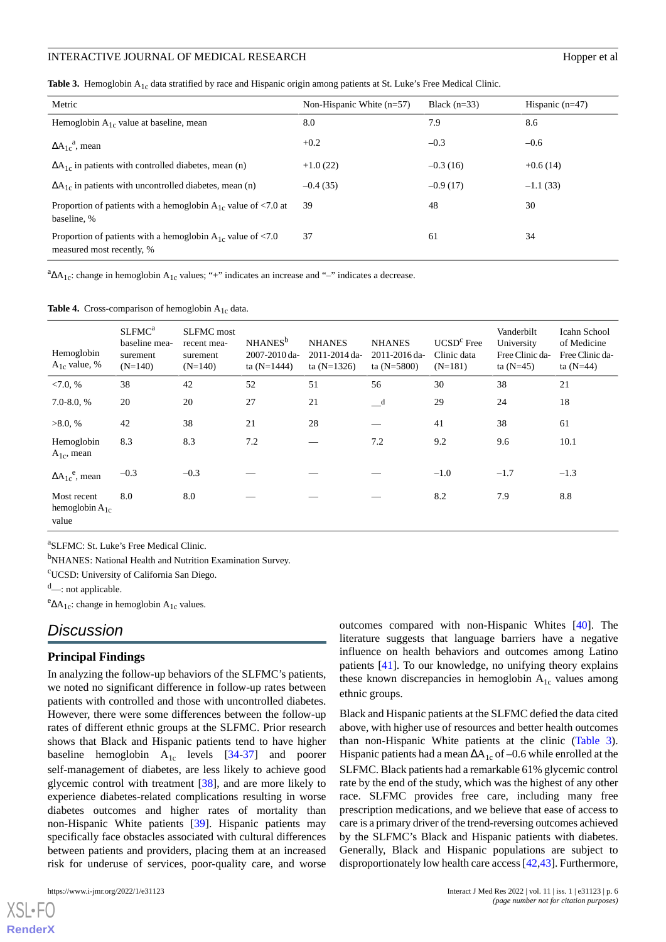<span id="page-5-0"></span>Table 3. Hemoglobin A<sub>1c</sub> data stratified by race and Hispanic origin among patients at St. Luke's Free Medical Clinic.

| Metric                                                                                       | Non-Hispanic White $(n=57)$ | Black $(n=33)$ | Hispanic $(n=47)$ |  |
|----------------------------------------------------------------------------------------------|-----------------------------|----------------|-------------------|--|
| Hemoglobin $A_{1c}$ value at baseline, mean                                                  | 8.0                         | 7.9            | 8.6               |  |
| $\Delta A_{1c}^a$ , mean                                                                     | $+0.2$                      | $-0.3$         | $-0.6$            |  |
| $\Delta A_{1c}$ in patients with controlled diabetes, mean (n)                               | $+1.0(22)$                  | $-0.3(16)$     | $+0.6(14)$        |  |
| $\Delta A_{1c}$ in patients with uncontrolled diabetes, mean (n)                             | $-0.4(35)$                  | $-0.9(17)$     | $-1.1(33)$        |  |
| Proportion of patients with a hemoglobin $A_{1c}$ value of <7.0 at<br>baseline, %            | 39                          | 48             | 30                |  |
| Proportion of patients with a hemoglobin $A_{1c}$ value of <7.0<br>measured most recently, % | 37                          | 61             | 34                |  |

<span id="page-5-1"></span> ${}^a\Delta A_{1c}$ : change in hemoglobin  $A_{1c}$  values; "+" indicates an increase and "-" indicates a decrease.

**Table 4.** Cross-comparison of hemoglobin A<sub>1c</sub> data.

| Hemoglobin<br>$A_{1c}$ value, %             | SLFMC <sup>a</sup><br>baseline mea-<br>surement<br>$(N=140)$ | <b>SLFMC</b> most<br>recent mea-<br>surement<br>$(N=140)$ | NHANES <sup>b</sup><br>2007-2010 da-<br>ta $(N=1444)$ | <b>NHANES</b><br>2011-2014 da-<br>ta $(N=1326)$ | <b>NHANES</b><br>2011-2016 da-<br>ta $(N=5800)$ | $UCSDc$ Free<br>Clinic data<br>$(N=181)$ | Vanderbilt<br>University<br>Free Clinic da-<br>ta $(N=45)$ | Icahn School<br>of Medicine<br>Free Clinic da-<br>ta $(N=44)$ |
|---------------------------------------------|--------------------------------------------------------------|-----------------------------------------------------------|-------------------------------------------------------|-------------------------------------------------|-------------------------------------------------|------------------------------------------|------------------------------------------------------------|---------------------------------------------------------------|
| < 7.0, %                                    | 38                                                           | 42                                                        | 52                                                    | 51                                              | 56                                              | 30                                       | 38                                                         | 21                                                            |
| $7.0 - 8.0, %$                              | 20                                                           | 20                                                        | 27                                                    | 21                                              | $-$ <sup>d</sup>                                | 29                                       | 24                                                         | 18                                                            |
| >8.0, %                                     | 42                                                           | 38                                                        | 21                                                    | 28                                              |                                                 | 41                                       | 38                                                         | 61                                                            |
| Hemoglobin<br>$A_{1c}$ , mean               | 8.3                                                          | 8.3                                                       | 7.2                                                   |                                                 | 7.2                                             | 9.2                                      | 9.6                                                        | 10.1                                                          |
| $\Delta A_{1c}^{\text{e}}$ , mean           | $-0.3$                                                       | $-0.3$                                                    |                                                       |                                                 |                                                 | $-1.0$                                   | $-1.7$                                                     | $-1.3$                                                        |
| Most recent<br>hemoglobin $A_{1c}$<br>value | 8.0                                                          | 8.0                                                       |                                                       |                                                 |                                                 | 8.2                                      | 7.9                                                        | 8.8                                                           |

a SLFMC: St. Luke's Free Medical Clinic.

<sup>b</sup>NHANES: National Health and Nutrition Examination Survey.

<sup>c</sup>UCSD: University of California San Diego.

<sup>d</sup>—: not applicable.

 $e_{\Delta A_{1c}}$ : change in hemoglobin A<sub>1c</sub> values.

# *Discussion*

## **Principal Findings**

In analyzing the follow-up behaviors of the SLFMC's patients, we noted no significant difference in follow-up rates between patients with controlled and those with uncontrolled diabetes. However, there were some differences between the follow-up rates of different ethnic groups at the SLFMC. Prior research shows that Black and Hispanic patients tend to have higher baseline hemoglobin  $A_{1c}$  levels  $[34-37]$  $[34-37]$  $[34-37]$  and poorer self-management of diabetes, are less likely to achieve good glycemic control with treatment [\[38](#page-8-9)], and are more likely to experience diabetes-related complications resulting in worse diabetes outcomes and higher rates of mortality than non-Hispanic White patients [[39\]](#page-8-10). Hispanic patients may specifically face obstacles associated with cultural differences between patients and providers, placing them at an increased risk for underuse of services, poor-quality care, and worse

outcomes compared with non-Hispanic Whites [\[40](#page-8-11)]. The literature suggests that language barriers have a negative influence on health behaviors and outcomes among Latino patients [\[41](#page-8-12)]. To our knowledge, no unifying theory explains these known discrepancies in hemoglobin  $A_{1c}$  values among ethnic groups.

Black and Hispanic patients at the SLFMC defied the data cited above, with higher use of resources and better health outcomes than non-Hispanic White patients at the clinic [\(Table 3\)](#page-5-0). Hispanic patients had a mean  $\Delta A_{1c}$  of –0.6 while enrolled at the SLFMC. Black patients had a remarkable 61% glycemic control rate by the end of the study, which was the highest of any other race. SLFMC provides free care, including many free prescription medications, and we believe that ease of access to care is a primary driver of the trend-reversing outcomes achieved by the SLFMC's Black and Hispanic patients with diabetes. Generally, Black and Hispanic populations are subject to disproportionately low health care access [\[42](#page-8-13),[43\]](#page-8-14). Furthermore,

```
XSL•FO
RenderX
```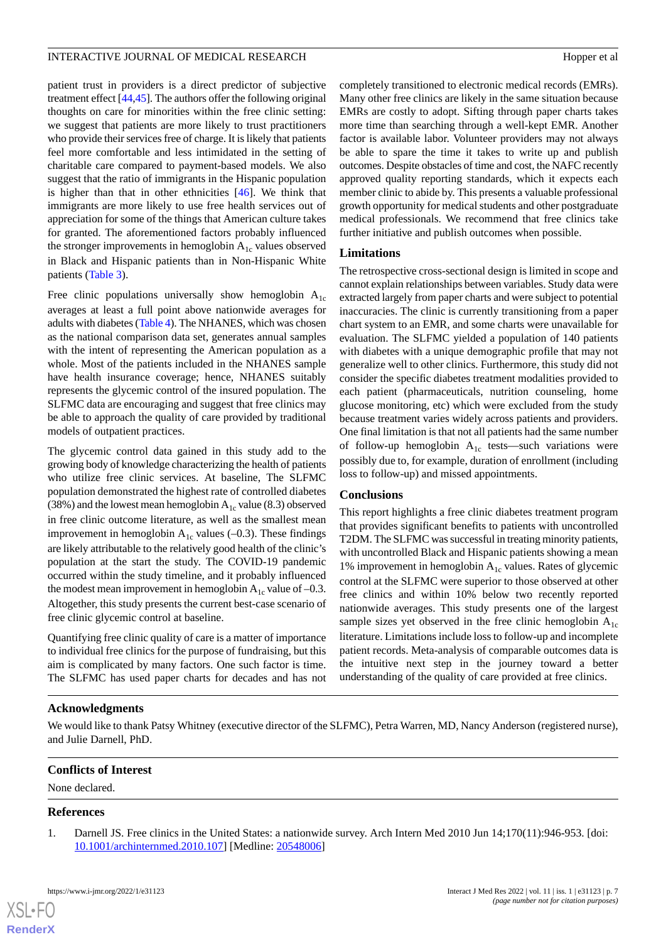#### INTERACTIVE JOURNAL OF MEDICAL RESEARCH **EXAMPLE 2008** Hopper et al.

patient trust in providers is a direct predictor of subjective treatment effect [[44,](#page-8-15)[45\]](#page-8-16). The authors offer the following original thoughts on care for minorities within the free clinic setting: we suggest that patients are more likely to trust practitioners who provide their services free of charge. It is likely that patients feel more comfortable and less intimidated in the setting of charitable care compared to payment-based models. We also suggest that the ratio of immigrants in the Hispanic population is higher than that in other ethnicities [[46\]](#page-8-17). We think that immigrants are more likely to use free health services out of appreciation for some of the things that American culture takes for granted. The aforementioned factors probably influenced the stronger improvements in hemoglobin  $A_{1c}$  values observed in Black and Hispanic patients than in Non-Hispanic White patients ([Table 3\)](#page-5-0).

Free clinic populations universally show hemoglobin  $A_{1c}$ averages at least a full point above nationwide averages for adults with diabetes [\(Table 4](#page-5-1)). The NHANES, which was chosen as the national comparison data set, generates annual samples with the intent of representing the American population as a whole. Most of the patients included in the NHANES sample have health insurance coverage; hence, NHANES suitably represents the glycemic control of the insured population. The SLFMC data are encouraging and suggest that free clinics may be able to approach the quality of care provided by traditional models of outpatient practices.

The glycemic control data gained in this study add to the growing body of knowledge characterizing the health of patients who utilize free clinic services. At baseline, The SLFMC population demonstrated the highest rate of controlled diabetes (38%) and the lowest mean hemoglobin  $A_{1c}$  value (8.3) observed in free clinic outcome literature, as well as the smallest mean improvement in hemoglobin  $A_{1c}$  values (-0.3). These findings are likely attributable to the relatively good health of the clinic's population at the start the study. The COVID-19 pandemic occurred within the study timeline, and it probably influenced the modest mean improvement in hemoglobin  $A_{1c}$  value of -0.3. Altogether, this study presents the current best-case scenario of free clinic glycemic control at baseline.

Quantifying free clinic quality of care is a matter of importance to individual free clinics for the purpose of fundraising, but this aim is complicated by many factors. One such factor is time. The SLFMC has used paper charts for decades and has not completely transitioned to electronic medical records (EMRs). Many other free clinics are likely in the same situation because EMRs are costly to adopt. Sifting through paper charts takes more time than searching through a well-kept EMR. Another factor is available labor. Volunteer providers may not always be able to spare the time it takes to write up and publish outcomes. Despite obstacles of time and cost, the NAFC recently approved quality reporting standards, which it expects each member clinic to abide by. This presents a valuable professional growth opportunity for medical students and other postgraduate medical professionals. We recommend that free clinics take further initiative and publish outcomes when possible.

# **Limitations**

The retrospective cross-sectional design is limited in scope and cannot explain relationships between variables. Study data were extracted largely from paper charts and were subject to potential inaccuracies. The clinic is currently transitioning from a paper chart system to an EMR, and some charts were unavailable for evaluation. The SLFMC yielded a population of 140 patients with diabetes with a unique demographic profile that may not generalize well to other clinics. Furthermore, this study did not consider the specific diabetes treatment modalities provided to each patient (pharmaceuticals, nutrition counseling, home glucose monitoring, etc) which were excluded from the study because treatment varies widely across patients and providers. One final limitation is that not all patients had the same number of follow-up hemoglobin  $A_{1c}$  tests—such variations were possibly due to, for example, duration of enrollment (including loss to follow-up) and missed appointments.

## **Conclusions**

This report highlights a free clinic diabetes treatment program that provides significant benefits to patients with uncontrolled T2DM. The SLFMC was successful in treating minority patients, with uncontrolled Black and Hispanic patients showing a mean 1% improvement in hemoglobin  $A_{1c}$  values. Rates of glycemic control at the SLFMC were superior to those observed at other free clinics and within 10% below two recently reported nationwide averages. This study presents one of the largest sample sizes yet observed in the free clinic hemoglobin  $A_{1c}$ literature. Limitations include loss to follow-up and incomplete patient records. Meta-analysis of comparable outcomes data is the intuitive next step in the journey toward a better understanding of the quality of care provided at free clinics.

# **Acknowledgments**

We would like to thank Patsy Whitney (executive director of the SLFMC), Petra Warren, MD, Nancy Anderson (registered nurse), and Julie Darnell, PhD.

## <span id="page-6-0"></span>**Conflicts of Interest**

None declared.

# **References**

[XSL](http://www.w3.org/Style/XSL)•FO **[RenderX](http://www.renderx.com/)**

1. Darnell JS. Free clinics in the United States: a nationwide survey. Arch Intern Med 2010 Jun 14;170(11):946-953. [doi: [10.1001/archinternmed.2010.107\]](http://dx.doi.org/10.1001/archinternmed.2010.107) [Medline: [20548006](http://www.ncbi.nlm.nih.gov/entrez/query.fcgi?cmd=Retrieve&db=PubMed&list_uids=20548006&dopt=Abstract)]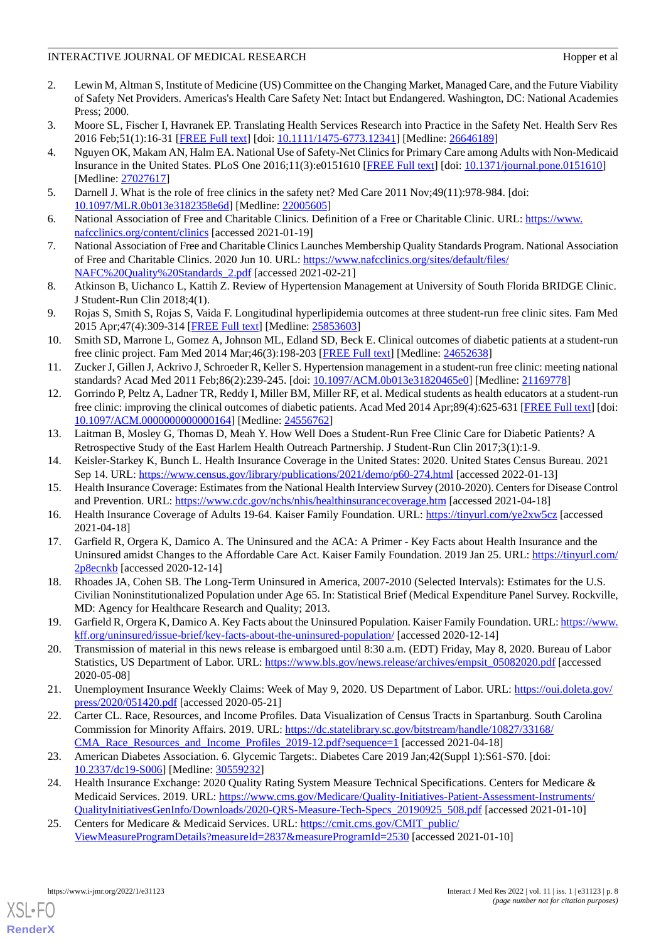- <span id="page-7-0"></span>2. Lewin M, Altman S, Institute of Medicine (US) Committee on the Changing Market, Managed Care, and the Future Viability of Safety Net Providers. Americas's Health Care Safety Net: Intact but Endangered. Washington, DC: National Academies Press; 2000.
- <span id="page-7-1"></span>3. Moore SL, Fischer I, Havranek EP. Translating Health Services Research into Practice in the Safety Net. Health Serv Res 2016 Feb;51(1):16-31 [\[FREE Full text\]](http://europepmc.org/abstract/MED/26646189) [doi: [10.1111/1475-6773.12341](http://dx.doi.org/10.1111/1475-6773.12341)] [Medline: [26646189\]](http://www.ncbi.nlm.nih.gov/entrez/query.fcgi?cmd=Retrieve&db=PubMed&list_uids=26646189&dopt=Abstract)
- 4. Nguyen OK, Makam AN, Halm EA. National Use of Safety-Net Clinics for Primary Care among Adults with Non-Medicaid Insurance in the United States. PLoS One 2016;11(3):e0151610 [[FREE Full text](https://dx.plos.org/10.1371/journal.pone.0151610)] [doi: [10.1371/journal.pone.0151610\]](http://dx.doi.org/10.1371/journal.pone.0151610) [Medline: [27027617](http://www.ncbi.nlm.nih.gov/entrez/query.fcgi?cmd=Retrieve&db=PubMed&list_uids=27027617&dopt=Abstract)]
- <span id="page-7-3"></span><span id="page-7-2"></span>5. Darnell J. What is the role of free clinics in the safety net? Med Care 2011 Nov;49(11):978-984. [doi: [10.1097/MLR.0b013e3182358e6d\]](http://dx.doi.org/10.1097/MLR.0b013e3182358e6d) [Medline: [22005605\]](http://www.ncbi.nlm.nih.gov/entrez/query.fcgi?cmd=Retrieve&db=PubMed&list_uids=22005605&dopt=Abstract)
- <span id="page-7-4"></span>6. National Association of Free and Charitable Clinics. Definition of a Free or Charitable Clinic. URL: [https://www.](https://www.nafcclinics.org/content/clinics) [nafcclinics.org/content/clinics](https://www.nafcclinics.org/content/clinics) [accessed 2021-01-19]
- <span id="page-7-5"></span>7. National Association of Free and Charitable Clinics Launches Membership Quality Standards Program. National Association of Free and Charitable Clinics. 2020 Jun 10. URL: [https://www.nafcclinics.org/sites/default/files/](https://www.nafcclinics.org/sites/default/files/NAFC%20Quality%20Standards_2.pdf) [NAFC%20Quality%20Standards\\_2.pdf](https://www.nafcclinics.org/sites/default/files/NAFC%20Quality%20Standards_2.pdf) [accessed 2021-02-21]
- 8. Atkinson B, Uichanco L, Kattih Z. Review of Hypertension Management at University of South Florida BRIDGE Clinic. J Student-Run Clin 2018;4(1).
- 9. Rojas S, Smith S, Rojas S, Vaida F. Longitudinal hyperlipidemia outcomes at three student-run free clinic sites. Fam Med 2015 Apr;47(4):309-314 [[FREE Full text](http://www.stfm.org/FamilyMedicine/Vol47Issue4/Rojas309)] [Medline: [25853603](http://www.ncbi.nlm.nih.gov/entrez/query.fcgi?cmd=Retrieve&db=PubMed&list_uids=25853603&dopt=Abstract)]
- 10. Smith SD, Marrone L, Gomez A, Johnson ML, Edland SD, Beck E. Clinical outcomes of diabetic patients at a student-run free clinic project. Fam Med 2014 Mar;46(3):198-203 [\[FREE Full text\]](http://www.stfm.org/FamilyMedicine/Vol46Issue3/Smith198) [Medline: [24652638\]](http://www.ncbi.nlm.nih.gov/entrez/query.fcgi?cmd=Retrieve&db=PubMed&list_uids=24652638&dopt=Abstract)
- <span id="page-7-18"></span>11. Zucker J, Gillen J, Ackrivo J, Schroeder R, Keller S. Hypertension management in a student-run free clinic: meeting national standards? Acad Med 2011 Feb;86(2):239-245. [doi: [10.1097/ACM.0b013e31820465e0](http://dx.doi.org/10.1097/ACM.0b013e31820465e0)] [Medline: [21169778\]](http://www.ncbi.nlm.nih.gov/entrez/query.fcgi?cmd=Retrieve&db=PubMed&list_uids=21169778&dopt=Abstract)
- <span id="page-7-6"></span>12. Gorrindo P, Peltz A, Ladner TR, Reddy I, Miller BM, Miller RF, et al. Medical students as health educators at a student-run free clinic: improving the clinical outcomes of diabetic patients. Acad Med 2014 Apr;89(4):625-631 [[FREE Full text](https://journals.lww.com/24556762.pmid)] [doi: [10.1097/ACM.0000000000000164\]](http://dx.doi.org/10.1097/ACM.0000000000000164) [Medline: [24556762](http://www.ncbi.nlm.nih.gov/entrez/query.fcgi?cmd=Retrieve&db=PubMed&list_uids=24556762&dopt=Abstract)]
- <span id="page-7-8"></span><span id="page-7-7"></span>13. Laitman B, Mosley G, Thomas D, Meah Y. How Well Does a Student-Run Free Clinic Care for Diabetic Patients? A Retrospective Study of the East Harlem Health Outreach Partnership. J Student-Run Clin 2017;3(1):1-9.
- <span id="page-7-9"></span>14. Keisler-Starkey K, Bunch L. Health Insurance Coverage in the United States: 2020. United States Census Bureau. 2021 Sep 14. URL:<https://www.census.gov/library/publications/2021/demo/p60-274.html> [accessed 2022-01-13]
- <span id="page-7-10"></span>15. Health Insurance Coverage: Estimates from the National Health Interview Survey (2010-2020). Centers for Disease Control and Prevention. URL: <https://www.cdc.gov/nchs/nhis/healthinsurancecoverage.htm> [accessed 2021-04-18]
- <span id="page-7-11"></span>16. Health Insurance Coverage of Adults 19-64. Kaiser Family Foundation. URL: [https://tinyurl.com/ye2xw5cz](https://www.kff.org/other/state-indicator/adults-19-64/?currentTimeframe=0&selectedRows=%7B%22states%22:%7B%22south-carolina%22:%7B%7D%7D%7D&sortModel=%7B%22colId%22:%22Location%22,%22sort%22:%22asc%22%7D#notes) [accessed 2021-04-18]
- <span id="page-7-12"></span>17. Garfield R, Orgera K, Damico A. The Uninsured and the ACA: A Primer - Key Facts about Health Insurance and the Uninsured amidst Changes to the Affordable Care Act. Kaiser Family Foundation. 2019 Jan 25. URL: [https://tinyurl.com/](https://www.kff.org/report-section/the-uninsured-and-the-aca-a-primer-key-facts-about-health-insurance-and-the-uninsured-amidst-changes-to-the-affordable-care-act-what-are-the-financial-implications-of-lacking-insu/) [2p8ecnkb](https://www.kff.org/report-section/the-uninsured-and-the-aca-a-primer-key-facts-about-health-insurance-and-the-uninsured-amidst-changes-to-the-affordable-care-act-what-are-the-financial-implications-of-lacking-insu/) [accessed 2020-12-14]
- <span id="page-7-13"></span>18. Rhoades JA, Cohen SB. The Long-Term Uninsured in America, 2007-2010 (Selected Intervals): Estimates for the U.S. Civilian Noninstitutionalized Population under Age 65. In: Statistical Brief (Medical Expenditure Panel Survey. Rockville, MD: Agency for Healthcare Research and Quality; 2013.
- <span id="page-7-14"></span>19. Garfield R, Orgera K, Damico A. Key Facts about the Uninsured Population. Kaiser Family Foundation. URL: [https://www.](https://www.kff.org/uninsured/issue-brief/key-facts-about-the-uninsured-population/) [kff.org/uninsured/issue-brief/key-facts-about-the-uninsured-population/](https://www.kff.org/uninsured/issue-brief/key-facts-about-the-uninsured-population/) [accessed 2020-12-14]
- <span id="page-7-15"></span>20. Transmission of material in this news release is embargoed until 8:30 a.m. (EDT) Friday, May 8, 2020. Bureau of Labor Statistics, US Department of Labor. URL: [https://www.bls.gov/news.release/archives/empsit\\_05082020.pdf](https://www.bls.gov/news.release/archives/empsit_05082020.pdf) [accessed 2020-05-08]
- <span id="page-7-16"></span>21. Unemployment Insurance Weekly Claims: Week of May 9, 2020. US Department of Labor. URL: [https://oui.doleta.gov/](https://oui.doleta.gov/press/2020/051420.pdf) [press/2020/051420.pdf](https://oui.doleta.gov/press/2020/051420.pdf) [accessed 2020-05-21]
- <span id="page-7-19"></span>22. Carter CL. Race, Resources, and Income Profiles. Data Visualization of Census Tracts in Spartanburg. South Carolina Commission for Minority Affairs. 2019. URL: [https://dc.statelibrary.sc.gov/bitstream/handle/10827/33168/](https://dc.statelibrary.sc.gov/bitstream/handle/10827/33168/CMA_Race_Resources_and_Income_Profiles_2019-12.pdf?sequence=1) [CMA\\_Race\\_Resources\\_and\\_Income\\_Profiles\\_2019-12.pdf?sequence=1](https://dc.statelibrary.sc.gov/bitstream/handle/10827/33168/CMA_Race_Resources_and_Income_Profiles_2019-12.pdf?sequence=1) [accessed 2021-04-18]
- <span id="page-7-17"></span>23. American Diabetes Association. 6. Glycemic Targets:. Diabetes Care 2019 Jan;42(Suppl 1):S61-S70. [doi: [10.2337/dc19-S006](http://dx.doi.org/10.2337/dc19-S006)] [Medline: [30559232\]](http://www.ncbi.nlm.nih.gov/entrez/query.fcgi?cmd=Retrieve&db=PubMed&list_uids=30559232&dopt=Abstract)
- 24. Health Insurance Exchange: 2020 Quality Rating System Measure Technical Specifications. Centers for Medicare & Medicaid Services. 2019. URL: [https://www.cms.gov/Medicare/Quality-Initiatives-Patient-Assessment-Instruments/](https://www.cms.gov/Medicare/Quality-Initiatives-Patient-Assessment-Instruments/QualityInitiativesGenInfo/Downloads/2020-QRS-Measure-Tech-Specs_20190925_508.pdf) [QualityInitiativesGenInfo/Downloads/2020-QRS-Measure-Tech-Specs\\_20190925\\_508.pdf](https://www.cms.gov/Medicare/Quality-Initiatives-Patient-Assessment-Instruments/QualityInitiativesGenInfo/Downloads/2020-QRS-Measure-Tech-Specs_20190925_508.pdf) [accessed 2021-01-10]
- 25. Centers for Medicare & Medicaid Services. URL: [https://cmit.cms.gov/CMIT\\_public/](https://cmit.cms.gov/CMIT_public/ViewMeasureProgramDetails?measureId=2837&measureProgramId=2530) [ViewMeasureProgramDetails?measureId=2837&measureProgramId=2530](https://cmit.cms.gov/CMIT_public/ViewMeasureProgramDetails?measureId=2837&measureProgramId=2530) [accessed 2021-01-10]

[XSL](http://www.w3.org/Style/XSL)•FO **[RenderX](http://www.renderx.com/)**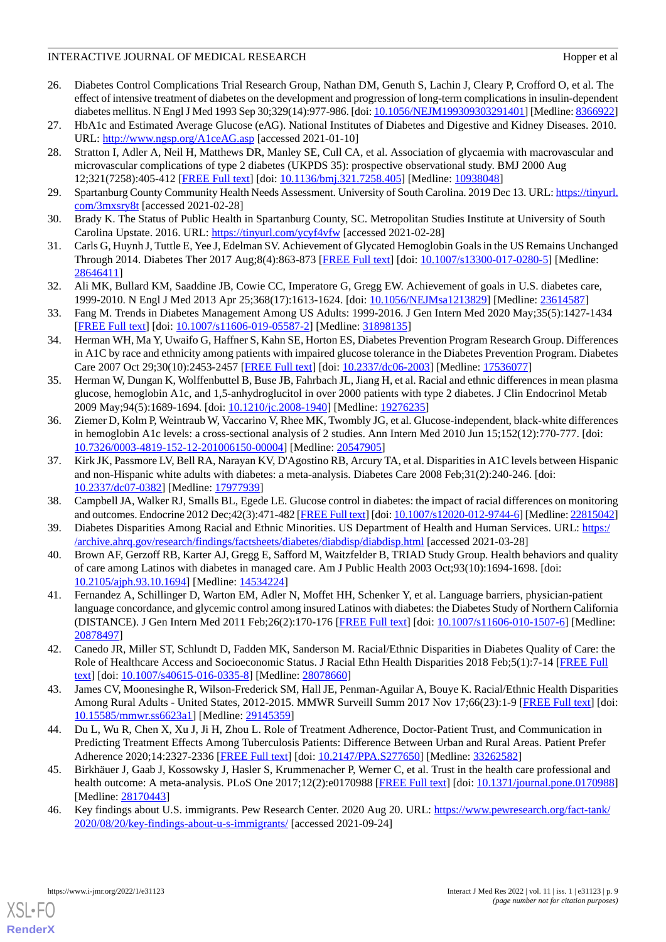- <span id="page-8-0"></span>26. Diabetes Control Complications Trial Research Group, Nathan DM, Genuth S, Lachin J, Cleary P, Crofford O, et al. The effect of intensive treatment of diabetes on the development and progression of long-term complications in insulin-dependent diabetes mellitus. N Engl J Med 1993 Sep 30;329(14):977-986. [doi: [10.1056/NEJM199309303291401](http://dx.doi.org/10.1056/NEJM199309303291401)] [Medline: [8366922](http://www.ncbi.nlm.nih.gov/entrez/query.fcgi?cmd=Retrieve&db=PubMed&list_uids=8366922&dopt=Abstract)]
- <span id="page-8-1"></span>27. HbA1c and Estimated Average Glucose (eAG). National Institutes of Diabetes and Digestive and Kidney Diseases. 2010. URL: <http://www.ngsp.org/A1ceAG.asp> [accessed 2021-01-10]
- 28. Stratton I, Adler A, Neil H, Matthews DR, Manley SE, Cull CA, et al. Association of glycaemia with macrovascular and microvascular complications of type 2 diabetes (UKPDS 35): prospective observational study. BMJ 2000 Aug 12;321(7258):405-412 [[FREE Full text](http://europepmc.org/abstract/MED/10938048)] [doi: [10.1136/bmj.321.7258.405\]](http://dx.doi.org/10.1136/bmj.321.7258.405) [Medline: [10938048\]](http://www.ncbi.nlm.nih.gov/entrez/query.fcgi?cmd=Retrieve&db=PubMed&list_uids=10938048&dopt=Abstract)
- <span id="page-8-3"></span><span id="page-8-2"></span>29. Spartanburg County Community Health Needs Assessment. University of South Carolina. 2019 Dec 13. URL: [https://tinyurl.](https://static1.squarespace.com/static/5a33e576b7411c1532a31412/t/5dfa845db5d24a35631c9f3c/1576698982138/CHNA%2BPublic%2BReport_2019.pdf) [com/3mxsry8t](https://static1.squarespace.com/static/5a33e576b7411c1532a31412/t/5dfa845db5d24a35631c9f3c/1576698982138/CHNA%2BPublic%2BReport_2019.pdf) [accessed 2021-02-28]
- <span id="page-8-4"></span>30. Brady K. The Status of Public Health in Spartanburg County, SC. Metropolitan Studies Institute at University of South Carolina Upstate. 2016. URL: [https://tinyurl.com/ycyf4vfw](https://www.strategicspartanburg.org/files/The%20Status%20of%20Public%20Health,%20Spartanburg%20County%202016%20Update.pdf) [accessed 2021-02-28]
- <span id="page-8-5"></span>31. Carls G, Huynh J, Tuttle E, Yee J, Edelman SV. Achievement of Glycated Hemoglobin Goals in the US Remains Unchanged Through 2014. Diabetes Ther 2017 Aug;8(4):863-873 [\[FREE Full text\]](http://europepmc.org/abstract/MED/28646411) [doi: [10.1007/s13300-017-0280-5](http://dx.doi.org/10.1007/s13300-017-0280-5)] [Medline: [28646411](http://www.ncbi.nlm.nih.gov/entrez/query.fcgi?cmd=Retrieve&db=PubMed&list_uids=28646411&dopt=Abstract)]
- <span id="page-8-6"></span>32. Ali MK, Bullard KM, Saaddine JB, Cowie CC, Imperatore G, Gregg EW. Achievement of goals in U.S. diabetes care, 1999-2010. N Engl J Med 2013 Apr 25;368(17):1613-1624. [doi: [10.1056/NEJMsa1213829](http://dx.doi.org/10.1056/NEJMsa1213829)] [Medline: [23614587](http://www.ncbi.nlm.nih.gov/entrez/query.fcgi?cmd=Retrieve&db=PubMed&list_uids=23614587&dopt=Abstract)]
- <span id="page-8-7"></span>33. Fang M. Trends in Diabetes Management Among US Adults: 1999-2016. J Gen Intern Med 2020 May;35(5):1427-1434 [[FREE Full text](http://europepmc.org/abstract/MED/31898135)] [doi: [10.1007/s11606-019-05587-2\]](http://dx.doi.org/10.1007/s11606-019-05587-2) [Medline: [31898135](http://www.ncbi.nlm.nih.gov/entrez/query.fcgi?cmd=Retrieve&db=PubMed&list_uids=31898135&dopt=Abstract)]
- 34. Herman WH, Ma Y, Uwaifo G, Haffner S, Kahn SE, Horton ES, Diabetes Prevention Program Research Group. Differences in A1C by race and ethnicity among patients with impaired glucose tolerance in the Diabetes Prevention Program. Diabetes Care 2007 Oct 29;30(10):2453-2457 [[FREE Full text](http://europepmc.org/abstract/MED/17536077)] [doi: [10.2337/dc06-2003](http://dx.doi.org/10.2337/dc06-2003)] [Medline: [17536077](http://www.ncbi.nlm.nih.gov/entrez/query.fcgi?cmd=Retrieve&db=PubMed&list_uids=17536077&dopt=Abstract)]
- 35. Herman W, Dungan K, Wolffenbuttel B, Buse JB, Fahrbach JL, Jiang H, et al. Racial and ethnic differences in mean plasma glucose, hemoglobin A1c, and 1,5-anhydroglucitol in over 2000 patients with type 2 diabetes. J Clin Endocrinol Metab 2009 May;94(5):1689-1694. [doi: [10.1210/jc.2008-1940\]](http://dx.doi.org/10.1210/jc.2008-1940) [Medline: [19276235](http://www.ncbi.nlm.nih.gov/entrez/query.fcgi?cmd=Retrieve&db=PubMed&list_uids=19276235&dopt=Abstract)]
- <span id="page-8-8"></span>36. Ziemer D, Kolm P, Weintraub W, Vaccarino V, Rhee MK, Twombly JG, et al. Glucose-independent, black-white differences in hemoglobin A1c levels: a cross-sectional analysis of 2 studies. Ann Intern Med 2010 Jun 15;152(12):770-777. [doi: [10.7326/0003-4819-152-12-201006150-00004](http://dx.doi.org/10.7326/0003-4819-152-12-201006150-00004)] [Medline: [20547905](http://www.ncbi.nlm.nih.gov/entrez/query.fcgi?cmd=Retrieve&db=PubMed&list_uids=20547905&dopt=Abstract)]
- <span id="page-8-10"></span><span id="page-8-9"></span>37. Kirk JK, Passmore LV, Bell RA, Narayan KV, D'Agostino RB, Arcury TA, et al. Disparities in A1C levels between Hispanic and non-Hispanic white adults with diabetes: a meta-analysis. Diabetes Care 2008 Feb;31(2):240-246. [doi: [10.2337/dc07-0382\]](http://dx.doi.org/10.2337/dc07-0382) [Medline: [17977939](http://www.ncbi.nlm.nih.gov/entrez/query.fcgi?cmd=Retrieve&db=PubMed&list_uids=17977939&dopt=Abstract)]
- <span id="page-8-11"></span>38. Campbell JA, Walker RJ, Smalls BL, Egede LE. Glucose control in diabetes: the impact of racial differences on monitoring and outcomes. Endocrine 2012 Dec;42(3):471-482 [[FREE Full text\]](http://europepmc.org/abstract/MED/22815042) [doi: [10.1007/s12020-012-9744-6](http://dx.doi.org/10.1007/s12020-012-9744-6)] [Medline: [22815042\]](http://www.ncbi.nlm.nih.gov/entrez/query.fcgi?cmd=Retrieve&db=PubMed&list_uids=22815042&dopt=Abstract)
- <span id="page-8-12"></span>39. Diabetes Disparities Among Racial and Ethnic Minorities. US Department of Health and Human Services. URL: [https:/](https://archive.ahrq.gov/research/findings/factsheets/diabetes/diabdisp/diabdisp.html) [/archive.ahrq.gov/research/findings/factsheets/diabetes/diabdisp/diabdisp.html](https://archive.ahrq.gov/research/findings/factsheets/diabetes/diabdisp/diabdisp.html) [accessed 2021-03-28]
- 40. Brown AF, Gerzoff RB, Karter AJ, Gregg E, Safford M, Waitzfelder B, TRIAD Study Group. Health behaviors and quality of care among Latinos with diabetes in managed care. Am J Public Health 2003 Oct;93(10):1694-1698. [doi: [10.2105/ajph.93.10.1694](http://dx.doi.org/10.2105/ajph.93.10.1694)] [Medline: [14534224](http://www.ncbi.nlm.nih.gov/entrez/query.fcgi?cmd=Retrieve&db=PubMed&list_uids=14534224&dopt=Abstract)]
- <span id="page-8-14"></span><span id="page-8-13"></span>41. Fernandez A, Schillinger D, Warton EM, Adler N, Moffet HH, Schenker Y, et al. Language barriers, physician-patient language concordance, and glycemic control among insured Latinos with diabetes: the Diabetes Study of Northern California (DISTANCE). J Gen Intern Med 2011 Feb;26(2):170-176 [\[FREE Full text\]](http://europepmc.org/abstract/MED/20878497) [doi: [10.1007/s11606-010-1507-6](http://dx.doi.org/10.1007/s11606-010-1507-6)] [Medline: [20878497](http://www.ncbi.nlm.nih.gov/entrez/query.fcgi?cmd=Retrieve&db=PubMed&list_uids=20878497&dopt=Abstract)]
- <span id="page-8-15"></span>42. Canedo JR, Miller ST, Schlundt D, Fadden MK, Sanderson M. Racial/Ethnic Disparities in Diabetes Quality of Care: the Role of Healthcare Access and Socioeconomic Status. J Racial Ethn Health Disparities 2018 Feb;5(1):7-14 [[FREE Full](http://europepmc.org/abstract/MED/28078660) [text](http://europepmc.org/abstract/MED/28078660)] [doi: [10.1007/s40615-016-0335-8\]](http://dx.doi.org/10.1007/s40615-016-0335-8) [Medline: [28078660](http://www.ncbi.nlm.nih.gov/entrez/query.fcgi?cmd=Retrieve&db=PubMed&list_uids=28078660&dopt=Abstract)]
- <span id="page-8-16"></span>43. James CV, Moonesinghe R, Wilson-Frederick SM, Hall JE, Penman-Aguilar A, Bouye K. Racial/Ethnic Health Disparities Among Rural Adults - United States, 2012-2015. MMWR Surveill Summ 2017 Nov 17;66(23):1-9 [[FREE Full text](http://europepmc.org/abstract/MED/29145359)] [doi: [10.15585/mmwr.ss6623a1](http://dx.doi.org/10.15585/mmwr.ss6623a1)] [Medline: [29145359\]](http://www.ncbi.nlm.nih.gov/entrez/query.fcgi?cmd=Retrieve&db=PubMed&list_uids=29145359&dopt=Abstract)
- <span id="page-8-17"></span>44. Du L, Wu R, Chen X, Xu J, Ji H, Zhou L. Role of Treatment Adherence, Doctor-Patient Trust, and Communication in Predicting Treatment Effects Among Tuberculosis Patients: Difference Between Urban and Rural Areas. Patient Prefer Adherence 2020;14:2327-2336 [\[FREE Full text\]](https://dx.doi.org/10.2147/PPA.S277650) [doi: [10.2147/PPA.S277650\]](http://dx.doi.org/10.2147/PPA.S277650) [Medline: [33262582](http://www.ncbi.nlm.nih.gov/entrez/query.fcgi?cmd=Retrieve&db=PubMed&list_uids=33262582&dopt=Abstract)]
- 45. Birkhäuer J, Gaab J, Kossowsky J, Hasler S, Krummenacher P, Werner C, et al. Trust in the health care professional and health outcome: A meta-analysis. PLoS One 2017;12(2):e0170988 [[FREE Full text](https://dx.plos.org/10.1371/journal.pone.0170988)] [doi: [10.1371/journal.pone.0170988](http://dx.doi.org/10.1371/journal.pone.0170988)] [Medline: [28170443](http://www.ncbi.nlm.nih.gov/entrez/query.fcgi?cmd=Retrieve&db=PubMed&list_uids=28170443&dopt=Abstract)]
- 46. Key findings about U.S. immigrants. Pew Research Center. 2020 Aug 20. URL: [https://www.pewresearch.org/fact-tank/](https://www.pewresearch.org/fact-tank/2020/08/20/key-findings-about-u-s-immigrants/) [2020/08/20/key-findings-about-u-s-immigrants/](https://www.pewresearch.org/fact-tank/2020/08/20/key-findings-about-u-s-immigrants/) [accessed 2021-09-24]



[XSL](http://www.w3.org/Style/XSL)•FO **[RenderX](http://www.renderx.com/)**